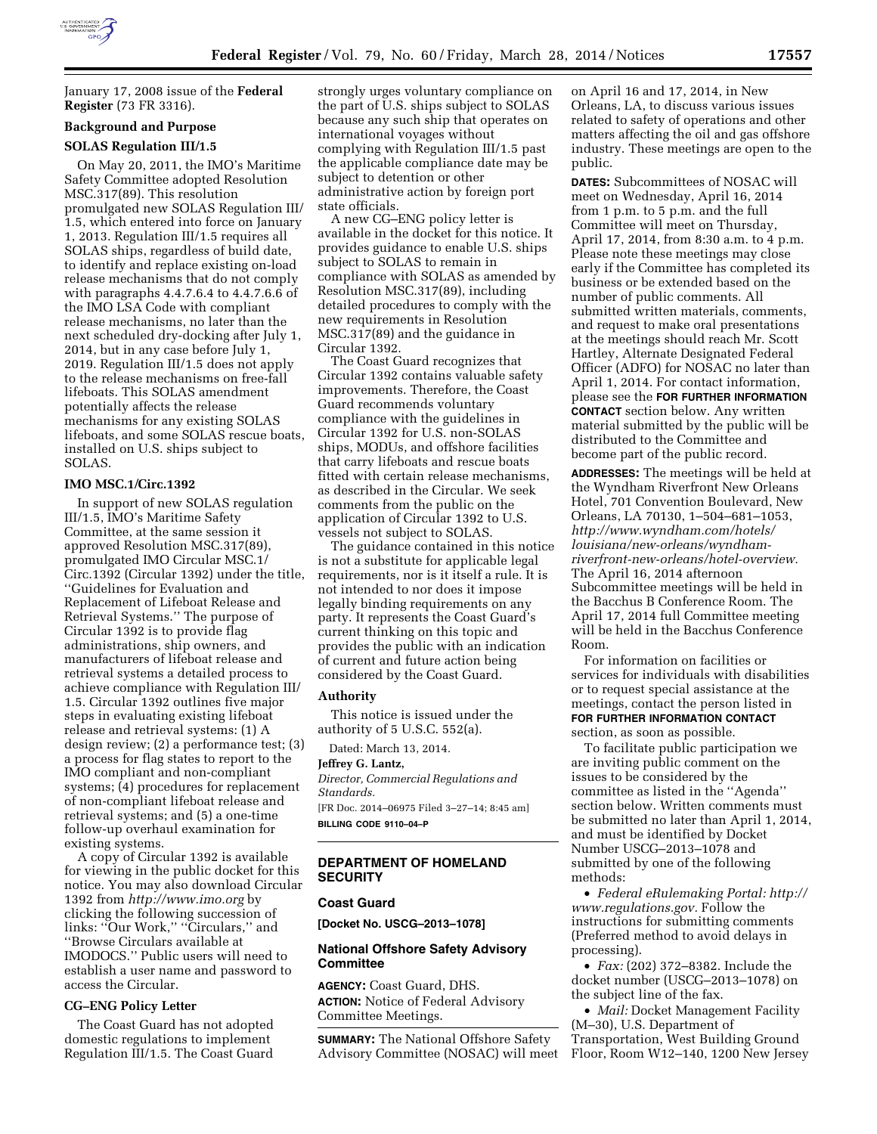

January 17, 2008 issue of the **Federal Register** (73 FR 3316).

# **Background and Purpose**

### **SOLAS Regulation III/1.5**

On May 20, 2011, the IMO's Maritime Safety Committee adopted Resolution MSC.317(89). This resolution promulgated new SOLAS Regulation III/ 1.5, which entered into force on January 1, 2013. Regulation III/1.5 requires all SOLAS ships, regardless of build date, to identify and replace existing on-load release mechanisms that do not comply with paragraphs 4.4.7.6.4 to 4.4.7.6.6 of the IMO LSA Code with compliant release mechanisms, no later than the next scheduled dry-docking after July 1, 2014, but in any case before July 1, 2019. Regulation III/1.5 does not apply to the release mechanisms on free-fall lifeboats. This SOLAS amendment potentially affects the release mechanisms for any existing SOLAS lifeboats, and some SOLAS rescue boats, installed on U.S. ships subject to SOLAS.

# **IMO MSC.1/Circ.1392**

In support of new SOLAS regulation III/1.5, IMO's Maritime Safety Committee, at the same session it approved Resolution MSC.317(89), promulgated IMO Circular MSC.1/ Circ.1392 (Circular 1392) under the title, ''Guidelines for Evaluation and Replacement of Lifeboat Release and Retrieval Systems.'' The purpose of Circular 1392 is to provide flag administrations, ship owners, and manufacturers of lifeboat release and retrieval systems a detailed process to achieve compliance with Regulation III/ 1.5. Circular 1392 outlines five major steps in evaluating existing lifeboat release and retrieval systems: (1) A design review; (2) a performance test; (3) a process for flag states to report to the IMO compliant and non-compliant systems; (4) procedures for replacement of non-compliant lifeboat release and retrieval systems; and (5) a one-time follow-up overhaul examination for existing systems.

A copy of Circular 1392 is available for viewing in the public docket for this notice. You may also download Circular 1392 from *<http://www.imo.org>* by clicking the following succession of links: ''Our Work,'' ''Circulars,'' and ''Browse Circulars available at IMODOCS.'' Public users will need to establish a user name and password to access the Circular.

# **CG–ENG Policy Letter**

The Coast Guard has not adopted domestic regulations to implement Regulation III/1.5. The Coast Guard

strongly urges voluntary compliance on the part of U.S. ships subject to SOLAS because any such ship that operates on international voyages without complying with Regulation III/1.5 past the applicable compliance date may be subject to detention or other administrative action by foreign port state officials.

A new CG–ENG policy letter is available in the docket for this notice. It provides guidance to enable U.S. ships subject to SOLAS to remain in compliance with SOLAS as amended by Resolution MSC.317(89), including detailed procedures to comply with the new requirements in Resolution MSC.317(89) and the guidance in Circular 1392.

The Coast Guard recognizes that Circular 1392 contains valuable safety improvements. Therefore, the Coast Guard recommends voluntary compliance with the guidelines in Circular 1392 for U.S. non-SOLAS ships, MODUs, and offshore facilities that carry lifeboats and rescue boats fitted with certain release mechanisms, as described in the Circular. We seek comments from the public on the application of Circular 1392 to U.S. vessels not subject to SOLAS.

The guidance contained in this notice is not a substitute for applicable legal requirements, nor is it itself a rule. It is not intended to nor does it impose legally binding requirements on any party. It represents the Coast Guard's current thinking on this topic and provides the public with an indication of current and future action being considered by the Coast Guard.

#### **Authority**

This notice is issued under the authority of 5 U.S.C. 552(a).

Dated: March 13, 2014.

# **Jeffrey G. Lantz,**

*Director, Commercial Regulations and Standards.* 

[FR Doc. 2014–06975 Filed 3–27–14; 8:45 am] **BILLING CODE 9110–04–P** 

# **DEPARTMENT OF HOMELAND SECURITY**

### **Coast Guard**

**[Docket No. USCG–2013–1078]** 

# **National Offshore Safety Advisory Committee**

**AGENCY:** Coast Guard, DHS. **ACTION:** Notice of Federal Advisory Committee Meetings.

**SUMMARY:** The National Offshore Safety Advisory Committee (NOSAC) will meet on April 16 and 17, 2014, in New Orleans, LA, to discuss various issues related to safety of operations and other matters affecting the oil and gas offshore industry. These meetings are open to the public.

**DATES:** Subcommittees of NOSAC will meet on Wednesday, April 16, 2014 from 1 p.m. to 5 p.m. and the full Committee will meet on Thursday, April 17, 2014, from 8:30 a.m. to 4 p.m. Please note these meetings may close early if the Committee has completed its business or be extended based on the number of public comments. All submitted written materials, comments, and request to make oral presentations at the meetings should reach Mr. Scott Hartley, Alternate Designated Federal Officer (ADFO) for NOSAC no later than April 1, 2014. For contact information, please see the **FOR FURTHER INFORMATION CONTACT** section below. Any written material submitted by the public will be distributed to the Committee and become part of the public record.

**ADDRESSES:** The meetings will be held at the Wyndham Riverfront New Orleans Hotel, 701 Convention Boulevard, New Orleans, LA 70130, 1–504–681–1053, *[http://www.wyndham.com/hotels/](http://www.wyndham.com/hotels/louisiana/new-orleans/wyndham-riverfront-new-orleans/hotel-overview) [louisiana/new-orleans/wyndham](http://www.wyndham.com/hotels/louisiana/new-orleans/wyndham-riverfront-new-orleans/hotel-overview)[riverfront-new-orleans/hotel-overview.](http://www.wyndham.com/hotels/louisiana/new-orleans/wyndham-riverfront-new-orleans/hotel-overview)*  The April 16, 2014 afternoon Subcommittee meetings will be held in the Bacchus B Conference Room. The April 17, 2014 full Committee meeting will be held in the Bacchus Conference Room.

For information on facilities or services for individuals with disabilities or to request special assistance at the meetings, contact the person listed in **FOR FURTHER INFORMATION CONTACT** section, as soon as possible.

To facilitate public participation we are inviting public comment on the issues to be considered by the committee as listed in the ''Agenda'' section below. Written comments must be submitted no later than April 1, 2014, and must be identified by Docket Number USCG–2013–1078 and submitted by one of the following methods:

• *Federal eRulemaking Portal: [http://](http://www.regulations.gov)  [www.regulations.gov.](http://www.regulations.gov)* Follow the instructions for submitting comments (Preferred method to avoid delays in processing).

• *Fax:* (202) 372–8382. Include the docket number (USCG–2013–1078) on the subject line of the fax.

• *Mail:* Docket Management Facility (M–30), U.S. Department of Transportation, West Building Ground Floor, Room W12–140, 1200 New Jersey